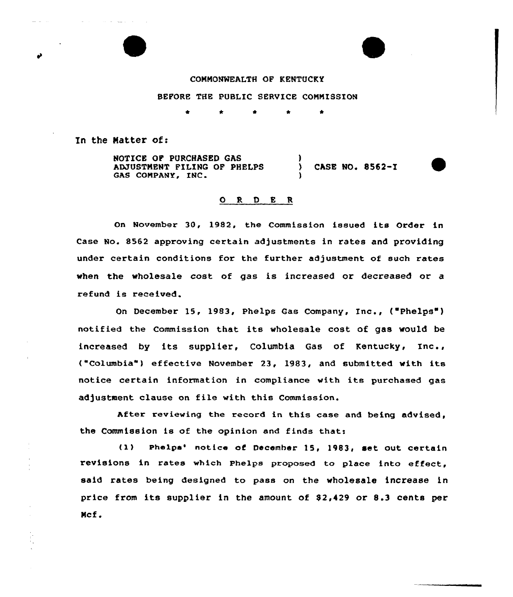## COMMONWEALTH QF KENTUCKY

## BEFORE THE PUBLIC SERVICE CONNISSION

\* \* \*

In the Matter of:

NOTICE QF PURCHASED GAS AMUSTNENT FILING OF PHELPS GAS COMPANY, INC ) ) CASE NO« 8562-I )

## 0 <sup>R</sup> <sup>D</sup> E <sup>R</sup>

On November 30, 1982, the Commission issued its Order in Case No. 8562 approving certain adjustments in rates and providing under certain conditions for the further adjustment of such rates when the wholesale cast of gas is increased or decreased or a refund is received.

On December 15, 1983, Phelps Gas Company, Inc., ("Phelps") notified the Commission that its wholesale cost of gas would be increased by its supplier, Columbia Gas of Kentucky, Inc., ("Columbia") effective November 23, 1983, and submitted with its notice certain information in compliance with its purchased gas adjustment clause on file with this Commission.

After reviewing the record in this case and being advised, the Commission is of the opinion and finds that:

(1) Phelps' notice of December 15, 1983, set out certain revisions in rates which Phelps proposed to place into effect, said rates being designed to pass on the wholesale increase in price from its supplier in the amount of  $$2,429$  or  $8.3$  cents per Ncf.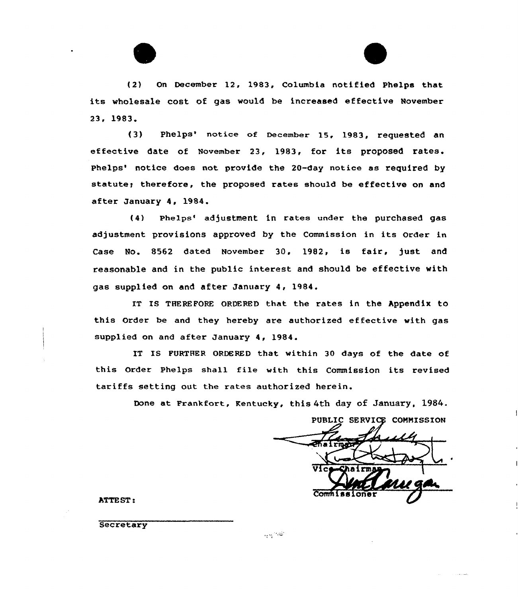



(2) On December 12, 1983, Columbia notified Phelps that its wholesale cost of gas would be increased effective November 23, 1983

(3) Phelps' notice of December 15, 1983, requested an effective date of November 23, 1983, for its proposed rates. Phelps' notice does not provide the 20-day notice as required by statute; therefore, the proposed rates should be effective on and after January 4, 1984.

(4) Phelps'd)ustment in rates under the purchased gas adjustment provisions approved by the Commission in its Order in Case No. 8562 dated November 30, 1982, is fair, just and reasonable and in the public interest and should be effective with gas supplied on and after January 4, 1984.

IT IS THEREFORE ORDERED that the rates in the Appendix to this Order be and they hereby are authorized effective with gas supplied on and after January 4, 1984.

IT IS FURTHER ORDERED that within 30 days of the date of this Order Phelps shall file with this Commission its revised tariffs setting out the rates authorized herein.

Done at Frankfort, Kentucky, this 4th day of January, 1984.

PUBLIC SERVICE COMMISSION Vice-Shairman Comm I

ATTEST:

**Secretary** 

تفصيحها